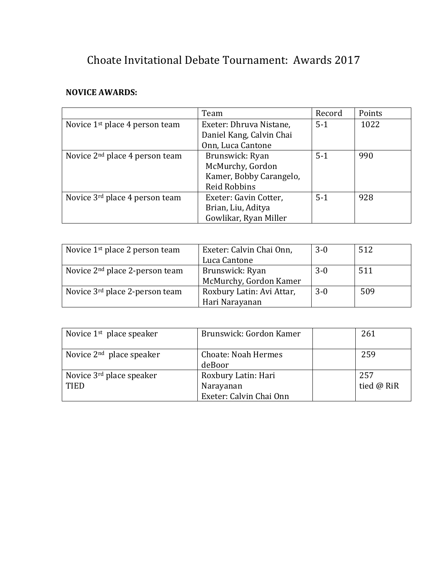## Choate Invitational Debate Tournament: Awards 2017

## **NOVICE AWARDS:**

|                                            | Team                     | Record  | Points |
|--------------------------------------------|--------------------------|---------|--------|
| Novice 1 <sup>st</sup> place 4 person team | Exeter: Dhruva Nistane,  | $5 - 1$ | 1022   |
|                                            | Daniel Kang, Calvin Chai |         |        |
|                                            | Onn, Luca Cantone        |         |        |
| Novice $2nd$ place 4 person team           | Brunswick: Ryan          | $5-1$   | 990    |
|                                            | McMurchy, Gordon         |         |        |
|                                            | Kamer, Bobby Carangelo,  |         |        |
|                                            | <b>Reid Robbins</b>      |         |        |
| Novice 3 <sup>rd</sup> place 4 person team | Exeter: Gavin Cotter,    | $5-1$   | 928    |
|                                            | Brian, Liu, Aditya       |         |        |
|                                            | Gowlikar, Ryan Miller    |         |        |

| Novice 1 <sup>st</sup> place 2 person team | Exeter: Calvin Chai Onn,  | $3-0$ | 512 |
|--------------------------------------------|---------------------------|-------|-----|
|                                            | Luca Cantone              |       |     |
| Novice 2 <sup>nd</sup> place 2-person team | Brunswick: Ryan           | $3-0$ | 511 |
|                                            | McMurchy, Gordon Kamer    |       |     |
| Novice 3 <sup>rd</sup> place 2-person team | Roxbury Latin: Avi Attar, | $3-0$ | 509 |
|                                            | Hari Narayanan            |       |     |

| Novice $1st$ place speaker                          | Brunswick: Gordon Kamer                                     | 261               |
|-----------------------------------------------------|-------------------------------------------------------------|-------------------|
| Novice $2nd$ place speaker                          | <b>Choate: Noah Hermes</b><br>deBoor                        | 259               |
| Novice 3 <sup>rd</sup> place speaker<br><b>TIED</b> | Roxbury Latin: Hari<br>Narayanan<br>Exeter: Calvin Chai Onn | 257<br>tied @ RiR |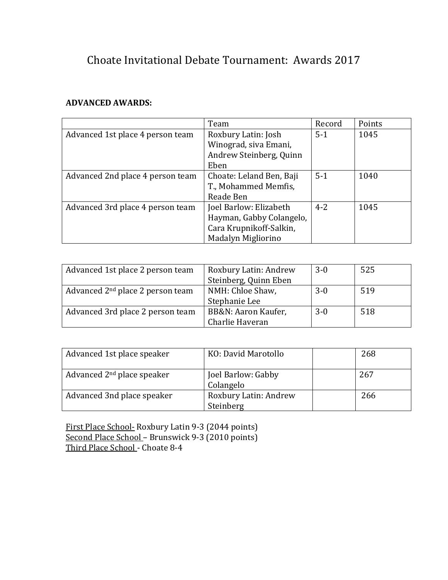## Choate Invitational Debate Tournament: Awards 2017

## **ADVANCED AWARDS:**

|                                  | Team                     | Record  | Points |
|----------------------------------|--------------------------|---------|--------|
| Advanced 1st place 4 person team | Roxbury Latin: Josh      | $5-1$   | 1045   |
|                                  | Winograd, siva Emani,    |         |        |
|                                  | Andrew Steinberg, Quinn  |         |        |
|                                  | Eben                     |         |        |
| Advanced 2nd place 4 person team | Choate: Leland Ben, Baji | $5-1$   | 1040   |
|                                  | T., Mohammed Memfis,     |         |        |
|                                  | Reade Ben                |         |        |
| Advanced 3rd place 4 person team | Joel Barlow: Elizabeth   | $4 - 2$ | 1045   |
|                                  | Hayman, Gabby Colangelo, |         |        |
|                                  | Cara Krupnikoff-Salkin,  |         |        |
|                                  | Madalyn Migliorino       |         |        |

| Advanced 1st place 2 person team             | Roxbury Latin: Andrew | $3-0$ | 525 |
|----------------------------------------------|-----------------------|-------|-----|
|                                              | Steinberg, Quinn Eben |       |     |
| Advanced 2 <sup>nd</sup> place 2 person team | NMH: Chloe Shaw,      | $3-0$ | 519 |
|                                              | Stephanie Lee         |       |     |
| Advanced 3rd place 2 person team             | BB&N: Aaron Kaufer,   | $3-0$ | 518 |
|                                              | Charlie Haveran       |       |     |

| Advanced 1st place speaker   | KO: David Marotollo                | 268 |
|------------------------------|------------------------------------|-----|
| Advanced $2nd$ place speaker | Joel Barlow: Gabby<br>Colangelo    | 267 |
| Advanced 3nd place speaker   | Roxbury Latin: Andrew<br>Steinberg | 266 |

First Place School- Roxbury Latin 9-3 (2044 points) Second Place School – Brunswick 9-3 (2010 points) Third Place School - Choate 8-4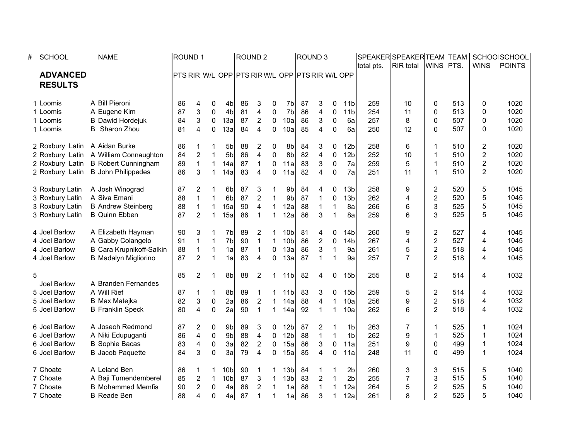| # | <b>SCHOOL</b>                     | <b>NAME</b>                           | <b>ROUND1</b>                                  |                         |                  |                 |    | <b>ROUND 2</b>          |              |                 |    | ROUND <sub>3</sub>      |                  |                 | total pts. | SPEAKER SPEAKER TEAM TEAM<br><b>RIR</b> total | WINS PTS.      |     | <b>WINS</b>    | SCHOOLSCHOOL<br><b>POINTS</b> |
|---|-----------------------------------|---------------------------------------|------------------------------------------------|-------------------------|------------------|-----------------|----|-------------------------|--------------|-----------------|----|-------------------------|------------------|-----------------|------------|-----------------------------------------------|----------------|-----|----------------|-------------------------------|
|   | <b>ADVANCED</b><br><b>RESULTS</b> |                                       | PTS RIR W/L OPP PTS RIRW/L OPP PTS RIR W/L OPP |                         |                  |                 |    |                         |              |                 |    |                         |                  |                 |            |                                               |                |     |                |                               |
|   | 1 Loomis                          | A Bill Pieroni                        | 86                                             | 4                       | 0                | 4bl             | 86 | 3                       | 0            | 7b              | 87 | 3                       | 0                | 11 <sub>b</sub> | 259        | 10                                            | 0              | 513 | 0              | 1020                          |
|   | 1 Loomis                          | A Eugene Kim                          | 87                                             | 3                       | 0                | 4b              | 81 | 4                       | 0            | 7b              | 86 | 4                       | 0                | 11 <sub>b</sub> | 254        | 11                                            | 0              | 513 | 0              | 1020                          |
|   | 1 Loomis                          | <b>B</b> Dawid Hordejuk               | 84                                             | 3                       | $\boldsymbol{0}$ | 13a             | 87 | 2                       | $\mathbf 0$  | 10a             | 86 | 3                       | $\pmb{0}$        | 6a              | 257        | 8                                             | 0              | 507 | 0              | 1020                          |
|   | 1 Loomis                          | <b>B</b> Sharon Zhou                  | 81                                             | 4                       | $\mathbf 0$      | 13a             | 84 | 4                       | $\mathbf{0}$ | 10a             | 85 | 4                       | $\mathbf 0$      | 6a              | 250        | 12                                            | 0              | 507 | 0              | 1020                          |
|   | 2 Roxbury Latin A Aidan Burke     |                                       | 86                                             | 1                       | 1                | 5 <sub>b</sub>  | 88 | $\overline{c}$          | 0            | 8b              | 84 | 3                       | 0                | 12 <sub>b</sub> | 258        | 6                                             | 1              | 510 | 2              | 1020                          |
|   |                                   | 2 Roxbury Latin A William Connaughton | 84                                             | $\overline{c}$          | $\overline{1}$   | 5 <sub>b</sub>  | 86 | $\overline{\mathbf{4}}$ | $\pmb{0}$    | 8b              | 82 | $\overline{\mathbf{4}}$ | $\boldsymbol{0}$ | 12 <sub>b</sub> | 252        | 10                                            | 1              | 510 | $\overline{2}$ | 1020                          |
|   | 2 Roxbury Latin                   | <b>B</b> Robert Cunningham            | 89                                             | $\overline{1}$          | $\mathbf{1}$     | 14a             | 87 | $\mathbf 1$             | $\mathbf 0$  | 11a             | 83 | 3                       | $\pmb{0}$        | 7a              | 259        | 5                                             | 1              | 510 | $\overline{c}$ | 1020                          |
|   |                                   | 2 Roxbury Latin B John Philippedes    | 86                                             | 3                       | $\mathbf{1}$     | 14a             | 83 | 4                       | $\mathbf{0}$ | 11a             | 82 | $\overline{4}$          | $\Omega$         | 7a              | 251        | 11                                            | $\mathbf{1}$   | 510 | $\overline{2}$ | 1020                          |
|   | 3 Roxbury Latin                   | A Josh Winograd                       | 87                                             | 2                       | 1                | 6bl             | 87 | 3                       |              | 9b              | 84 | 4                       | 0                | 13 <sub>b</sub> | 258        | 9                                             | 2              | 520 | 5              | 1045                          |
|   | 3 Roxbury Latin                   | A Siva Emani                          | 88                                             | $\mathbf 1$             | $\mathbf{1}$     | 6 <sub>b</sub>  | 87 | $\overline{2}$          | $\mathbf{1}$ | 9b              | 87 | $\mathbf{1}$            | $\mathbf 0$      | 13 <sub>b</sub> | 262        | 4                                             | $\overline{c}$ | 520 | 5              | 1045                          |
|   | 3 Roxbury Latin                   | <b>B Andrew Steinberg</b>             | 88                                             | $\mathbf{1}$            | $\mathbf 1$      | 15a             | 90 | 4                       | $\mathbf{1}$ | 12a             | 88 | $\mathbf 1$             | $\mathbf{1}$     | 8a              | 266        | 6                                             | 3              | 525 | 5              | 1045                          |
|   | 3 Roxbury Latin                   | <b>B</b> Quinn Ebben                  | 87                                             | $\overline{2}$          | $\mathbf{1}$     | 15a             | 86 | $\mathbf 1$             | $\mathbf{1}$ | 12a             | 86 | 3                       | $\mathbf{1}$     | 8a              | 259        | 6                                             | 3              | 525 | 5              | 1045                          |
|   | 4 Joel Barlow                     | A Elizabeth Hayman                    | 90                                             | 3                       | 1                | 7b              | 89 | 2                       | 1            | 10 <sub>b</sub> | 81 | 4                       | 0                | 14 <sub>b</sub> | 260        | 9                                             | $\overline{c}$ | 527 | 4              | 1045                          |
|   | 4 Joel Barlow                     | A Gabby Colangelo                     | 91                                             | $\mathbf 1$             | $\mathbf{1}$     | 7b              | 90 | $\mathbf 1$             | $\mathbf 1$  | 10 <sub>b</sub> | 86 | $\overline{c}$          | 0                | 14 <sub>b</sub> | 267        | 4                                             | 2              | 527 | 4              | 1045                          |
|   | 4 Joel Barlow                     | <b>B Cara Krupnikoff-Salkin</b>       | 88                                             | $\mathbf 1$             | $\mathbf{1}$     | 1a              | 87 | 1                       | $\mathbf 0$  | 13a             | 86 | 3                       | $\mathbf{1}$     | 9a              | 261        | 5                                             | $\overline{c}$ | 518 | 4              | 1045                          |
|   | 4 Joel Barlow                     | <b>B</b> Madalyn Migliorino           | 87                                             | $\overline{2}$          | $\mathbf{1}$     | 1a              | 83 | 4                       | $\mathbf{0}$ | 13a             | 87 | $\mathbf{1}$            | $\mathbf{1}$     | 9a              | 257        | $\overline{7}$                                | $\overline{2}$ | 518 | 4              | 1045                          |
| 5 |                                   |                                       | 85                                             | $\overline{c}$          | 1                | 8b              | 88 | 2                       | 1            | 11 <sub>b</sub> | 82 | 4                       | 0                | 15 <sub>b</sub> | 255        | 8                                             | $\overline{c}$ | 514 | 4              | 1032                          |
|   | Joel Barlow                       | A Branden Fernandes                   |                                                |                         |                  |                 |    |                         |              |                 |    |                         |                  |                 |            |                                               |                |     |                |                               |
|   | 5 Joel Barlow                     | A Will Rief                           | 87                                             | 1                       | $\mathbf{1}$     | 8b              | 89 | 1                       | 1            | 11 <sub>b</sub> | 83 | 3                       | 0                | 15 <sub>b</sub> | 259        | 5                                             | $\overline{c}$ | 514 | 4              | 1032                          |
|   | 5 Joel Barlow                     | <b>B</b> Max Matejka                  | 82                                             | 3                       | $\mathbf 0$      | 2a              | 86 | $\overline{2}$          | $\mathbf{1}$ | 14a             | 88 | $\overline{\mathbf{4}}$ | $\mathbf{1}$     | 10a             | 256        | 9                                             | $\overline{2}$ | 518 | 4              | 1032                          |
|   | 5 Joel Barlow                     | <b>B</b> Franklin Speck               | 80                                             | 4                       | 0                | 2a              | 90 | $\mathbf 1$             | $\mathbf{1}$ | 14a             | 92 | 1                       | $\mathbf{1}$     | 10a             | 262        | 6                                             | $\overline{2}$ | 518 | 4              | 1032                          |
|   | 6 Joel Barlow                     | A Joseoh Redmond                      | 87                                             | $\overline{c}$          | 0                | 9b              | 89 | 3                       | 0            | 12 <sub>b</sub> | 87 | 2                       | 1                | 1 <sub>b</sub>  | 263        | 7                                             | 1              | 525 | 1              | 1024                          |
|   | 6 Joel Barlow                     | A Niki Edupuganti                     | 86                                             | $\overline{\mathbf{4}}$ | $\pmb{0}$        | 9b              | 88 | 4                       | 0            | 12 <sub>b</sub> | 88 | $\mathbf{1}$            | $\mathbf{1}$     | 1 <sub>b</sub>  | 262        | 9                                             | $\mathbf{1}$   | 525 | 1              | 1024                          |
|   | 6 Joel Barlow                     | <b>B</b> Sophie Bacas                 | 83                                             | 4                       | $\boldsymbol{0}$ | 3a              | 82 | $\overline{c}$          | $\mathbf 0$  | 15a             | 86 | 3                       | $\mathbf 0$      | 11a             | 251        | 9                                             | 0              | 499 | 1              | 1024                          |
|   | 6 Joel Barlow                     | <b>B</b> Jacob Paquette               | 84                                             | 3                       | 0                | 3a              | 79 | 4                       | $\mathbf{0}$ | 15a             | 85 | $\overline{4}$          | $\mathbf 0$      | 11a             | 248        | 11                                            | $\Omega$       | 499 | 1              | 1024                          |
|   | 7 Choate                          | A Leland Ben                          | 86                                             | 1                       | 1                | 10 <sub>b</sub> | 90 |                         | 1            | 13 <sub>b</sub> | 84 | 1                       |                  | 2 <sub>b</sub>  | 260        | 3                                             | 3              | 515 | 5              | 1040                          |
|   | 7 Choate                          | A Baji Tumendemberel                  | 85                                             | $\overline{\mathbf{c}}$ | $\mathbf{1}$     | 10 <sub>b</sub> | 87 | 3                       | $\mathbf 1$  | 13 <sub>b</sub> | 83 | $\boldsymbol{2}$        | $\mathbf{1}$     | 2 <sub>b</sub>  | 255        | $\overline{7}$                                | 3              | 515 | 5              | 1040                          |
|   | 7 Choate                          | <b>B</b> Mohammed Memfis              | 90                                             | $\overline{c}$          | $\mathbf 0$      | 4a              | 86 | $\overline{2}$          | $\mathbf{1}$ | 1a              | 88 | $\mathbf{1}$            | $\mathbf{1}$     | 12a             | 264        | 5                                             | $\overline{c}$ | 525 | 5              | 1040                          |
|   | 7 Choate                          | <b>B</b> Reade Ben                    | 88                                             | 4                       | $\overline{0}$   | 4al             | 87 | 1                       | $\mathbf{1}$ | 1a              | 86 | 3                       | 1                | 12a             | 261        | 8                                             | $\overline{2}$ | 525 | 5              | 1040                          |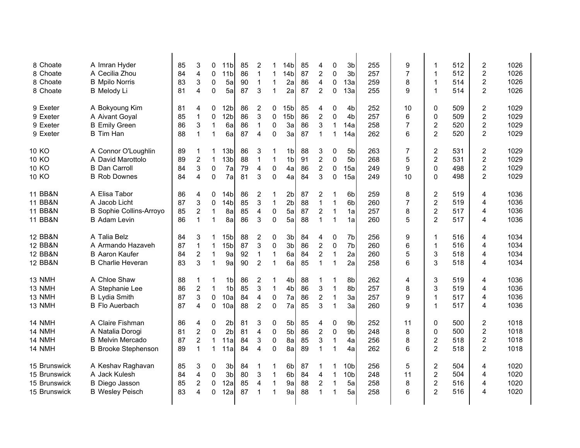| 8 Choate           | A Imran Hyder                  | 85 | 3                         | 0                | 11 <sub>b</sub> | 85 | $\overline{2}$ | 1            | 14b             | 85 | 4                       | 0            | 3 <sub>b</sub>  | 255 | 9              | 1                       | 512 | $\overline{\mathbf{c}}$ | 1026 |
|--------------------|--------------------------------|----|---------------------------|------------------|-----------------|----|----------------|--------------|-----------------|----|-------------------------|--------------|-----------------|-----|----------------|-------------------------|-----|-------------------------|------|
| 8 Choate           | A Cecilia Zhou                 | 84 | 4                         | $\mathbf 0$      | 11 <sub>b</sub> | 86 | $\mathbf{1}$   | $\mathbf{1}$ | 14 <sub>b</sub> | 87 | $\overline{2}$          | 0            | 3 <sub>b</sub>  | 257 | $\overline{7}$ | 1                       | 512 | $\overline{c}$          | 1026 |
| 8 Choate           | <b>B</b> Mpilo Norris          | 83 | 3                         | $\boldsymbol{0}$ | 5a              | 90 | $\mathbf{1}$   | $\mathbf 1$  | 2a              | 86 | 4                       | 0            | 13a             | 259 | 8              | 1                       | 514 | $\overline{c}$          | 1026 |
| 8 Choate           | <b>B</b> Melody Li             | 81 | 4                         | $\pmb{0}$        | 5a              | 87 | 3              | $\mathbf{1}$ | 2a              | 87 | $\overline{2}$          | 0            | 13a             | 255 | 9              | $\mathbf{1}$            | 514 | $\overline{c}$          | 1026 |
|                    |                                |    |                           |                  |                 |    |                |              |                 |    |                         |              |                 |     |                |                         |     |                         |      |
| 9 Exeter           | A Bokyoung Kim                 | 81 | 4                         | 0                | 12 <sub>b</sub> | 86 | $\overline{c}$ | 0            | 15 <sub>b</sub> | 85 | 4                       | 0            | 4 <sub>b</sub>  | 252 | 10             | 0                       | 509 | $\overline{c}$          | 1029 |
| 9 Exeter           | A Aivant Goyal                 | 85 | $\mathbf 1$               | 0                | 12 <sub>b</sub> | 86 | 3              | 0            | 15 <sub>b</sub> | 86 | $\overline{c}$          | 0            | 4 <sub>b</sub>  | 257 | 6              | 0                       | 509 | $\overline{c}$          | 1029 |
| 9 Exeter           | <b>B</b> Emily Green           | 86 | 3                         | $\mathbf{1}$     | 6a              | 86 | $\mathbf 1$    | $\pmb{0}$    | 3a              | 86 | 3                       | 1            | 14a             | 258 | 7              | $\overline{\mathbf{c}}$ | 520 | 2                       | 1029 |
| 9 Exeter           | <b>B</b> Tim Han               | 88 | $\mathbf{1}$              | $\mathbf{1}$     | 6a              | 87 | 4              | $\mathbf{0}$ | 3a              | 87 | $\mathbf{1}$            | 1            | 14a             | 262 | 6              | $\overline{2}$          | 520 | 2                       | 1029 |
| 10 KO              | A Connor O'Loughlin            | 89 | $\mathbf 1$               | 1                | 13 <sub>b</sub> | 86 | 3              | 1            | 1bl             | 88 | 3                       | 0            | 5b              | 263 | 7              | $\overline{\mathbf{c}}$ | 531 | $\overline{\mathbf{c}}$ | 1029 |
| 10 KO              | A David Marottolo              | 89 | $\boldsymbol{2}$          | $\mathbf{1}$     | 13 <sub>b</sub> | 88 | $\mathbf 1$    | $\mathbf{1}$ | 1 <sub>b</sub>  | 91 | $\boldsymbol{2}$        | $\mathbf{0}$ | 5b              | 268 | 5              | $\overline{2}$          | 531 | $\overline{c}$          | 1029 |
| 10 KO              | <b>B</b> Dan Carroll           | 84 | 3                         | $\mathbf 0$      | 7a              | 79 | 4              | $\pmb{0}$    | 4a              | 86 | $\overline{c}$          | 0            | 15a             | 249 | 9              | 0                       | 498 | $\overline{c}$          | 1029 |
| 10 KO              | <b>B</b> Rob Downes            | 84 | 4                         | $\mathbf 0$      | 7a              | 81 | 3              | $\mathbf{0}$ | 4a              | 84 | 3                       | 0            | 15a             | 249 | 10             | 0                       | 498 | $\overline{2}$          | 1029 |
|                    |                                |    |                           |                  |                 |    |                |              |                 |    |                         |              |                 |     |                |                         |     |                         |      |
| <b>11 BB&amp;N</b> | A Elisa Tabor                  | 86 | 4                         | 0                | 14 <sub>b</sub> | 86 | $\overline{c}$ | 1            | 2 <sub>b</sub>  | 87 | $\overline{\mathbf{c}}$ | 1            | 6b              | 259 | 8              | 2                       | 519 | 4                       | 1036 |
| <b>11 BB&amp;N</b> | A Jacob Licht                  | 87 | 3                         | $\mathbf 0$      | 14 <sub>b</sub> | 85 | 3              | $\mathbf{1}$ | 2 <sub>b</sub>  | 88 | $\mathbf{1}$            | $\mathbf 1$  | 6b              | 260 | 7              | $\overline{2}$          | 519 | 4                       | 1036 |
| <b>11 BB&amp;N</b> | <b>B</b> Sophie Collins-Arroyo | 85 | $\overline{2}$            | $\mathbf{1}$     | 8a              | 85 | 4              | $\pmb{0}$    | 5a              | 87 | $\overline{2}$          | $\mathbf 1$  | 1a              | 257 | 8              | $\overline{2}$          | 517 | 4                       | 1036 |
| 11 BB&N            | <b>B</b> Adam Levin            | 86 | $\mathbf{1}$              | $\mathbf{1}$     | 8a              | 86 | 3              | $\mathbf 0$  | 5a              | 88 | $\mathbf{1}$            | $\mathbf 1$  | 1a              | 260 | 5              | $\overline{2}$          | 517 | 4                       | 1036 |
| <b>12 BB&amp;N</b> | A Talia Belz                   | 84 | 3                         | $\mathbf 1$      | 15 <sub>b</sub> | 88 | $\overline{2}$ | $\pmb{0}$    | 3 <sub>b</sub>  | 84 | 4                       | 0            | 7b              | 256 | 9              | 1                       | 516 | 4                       | 1034 |
| <b>12 BB&amp;N</b> | A Armando Hazaveh              | 87 | $\mathbf{1}$              | $\mathbf{1}$     | 15 <sub>b</sub> | 87 | 3              | 0            | 3b              | 86 | $\overline{2}$          | 0            | 7b              | 260 | 6              | 1                       | 516 | 4                       | 1034 |
| <b>12 BB&amp;N</b> | <b>B</b> Aaron Kaufer          | 84 | $\overline{c}$            | $\mathbf{1}$     | 9a              | 92 | $\mathbf{1}$   | $\mathbf 1$  | 6a              | 84 | $\boldsymbol{2}$        | 1            | 2a              | 260 | 5              | 3                       | 518 | 4                       | 1034 |
| <b>12 BB&amp;N</b> | <b>B</b> Charlie Heveran       | 83 | 3                         | $\mathbf{1}$     | 9a              | 90 | $\overline{c}$ | $\mathbf{1}$ | 6a              | 85 | $\mathbf{1}$            | 1            | 2a              | 258 | 6              | 3                       | 518 | 4                       | 1034 |
|                    |                                |    |                           |                  |                 |    |                |              |                 |    |                         |              |                 |     |                |                         |     |                         |      |
| 13 NMH             | A Chloe Shaw                   | 88 | 1                         | 1                | 1bl             | 86 | $\overline{c}$ | 1            | 4b              | 88 | $\mathbf{1}$            | 1            | 8b              | 262 | 4              | 3                       | 519 | 4                       | 1036 |
| 13 NMH             | A Stephanie Lee                | 86 | $\overline{2}$            | $\mathbf{1}$     | 1 <sub>b</sub>  | 85 | 3              | $\mathbf{1}$ | 4b              | 86 | 3                       | $\mathbf 1$  | 8b              | 257 | 8              | 3                       | 519 | 4                       | 1036 |
| 13 NMH             | <b>B</b> Lydia Smith           | 87 | 3                         | $\boldsymbol{0}$ | 10a             | 84 | 4              | 0            | 7a              | 86 | $\overline{c}$          | 1            | 3a              | 257 | 9              | 1                       | 517 | 4                       | 1036 |
| 13 NMH             | <b>B</b> Flo Auerbach          | 87 | 4                         | $\mathbf 0$      | 10a             | 88 | $\overline{c}$ | $\Omega$     | 7a              | 85 | 3                       | $\mathbf 1$  | 3a              | 260 | 9              | 1                       | 517 | 4                       | 1036 |
| 14 NMH             | A Claire Fishman               | 86 | 4                         | 0                | 2 <sub>b</sub>  | 81 | 3              | 0            | 5b              | 85 | 4                       | $\pmb{0}$    | 9b              | 252 | 11             | 0                       | 500 | $\overline{\mathbf{c}}$ | 1018 |
| 14 NMH             | A Natalia Dorogi               | 81 | $\overline{2}$            | $\mathbf 0$      | 2 <sub>b</sub>  | 81 | 4              | 0            | 5b              | 86 | $\overline{c}$          | $\pmb{0}$    | 9b              | 248 | 8              | 0                       | 500 | $\overline{c}$          | 1018 |
| 14 NMH             | <b>B</b> Melvin Mercado        | 87 | $\overline{2}$            | $\mathbf{1}$     | 11a             | 84 | 3              | $\pmb{0}$    | 8a              | 85 | 3                       | 1            | 4a              | 256 | 8              | $\overline{c}$          | 518 | $\overline{c}$          | 1018 |
| 14 NMH             | <b>B</b> Brooke Stephenson     | 89 | $\mathbf 1$               | $\mathbf{1}$     | 11a             | 84 | 4              | $\mathbf 0$  | 8a              | 89 | $\mathbf{1}$            | 1            | 4a              | 262 | 6              | $\overline{2}$          | 518 | $\overline{c}$          | 1018 |
|                    |                                |    |                           |                  |                 |    |                |              |                 |    |                         |              |                 |     |                |                         |     |                         |      |
| 15 Brunswick       | A Keshav Raghavan              | 85 | $\ensuremath{\mathsf{3}}$ | 0                | 3 <sub>b</sub>  | 84 | -1             | 1            | 6b              | 87 | 1                       | 1            | 10 <sub>b</sub> | 256 | 5              | $\overline{\mathbf{c}}$ | 504 | 4                       | 1020 |
| 15 Brunswick       | A Jack Kulesh                  | 84 | 4                         | $\mathbf 0$      | 3 <sub>b</sub>  | 80 | 3              | $\mathbf{1}$ | 6 <sub>b</sub>  | 84 | 4                       | $\mathbf 1$  | 10 <sub>b</sub> | 248 | 11             | $\overline{2}$          | 504 | 4                       | 1020 |
| 15 Brunswick       | <b>B</b> Diego Jasson          | 85 | $\overline{c}$            | $\pmb{0}$        | 12a             | 85 | 4              | $\mathbf 1$  | 9a              | 88 | $\boldsymbol{2}$        | $\mathbf{1}$ | 5a              | 258 | 8              | $\overline{c}$          | 516 | 4                       | 1020 |
| 15 Brunswick       | <b>B</b> Wesley Peisch         | 83 | 4                         | 0                | 12a             | 87 | 1              | 1            | 9a              | 88 | 1                       | 1            | 5a              | 258 | 6              | $\overline{2}$          | 516 | 4                       | 1020 |
|                    |                                |    |                           |                  |                 |    |                |              |                 |    |                         |              |                 |     |                |                         |     |                         |      |
|                    |                                |    |                           |                  |                 |    |                |              |                 |    |                         |              |                 |     |                |                         |     |                         |      |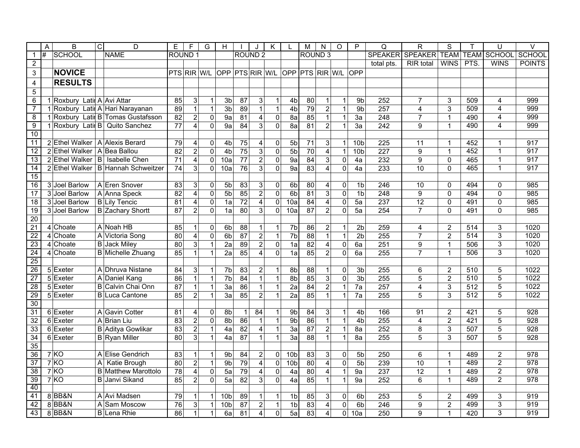|                       | A  | B                                | $\overline{c}$ | D                                          | Е                  | F                       | G                          | H               |                 |                                           | K                             |                 | M               | N<br>O                                    | P                                | Q                | R                | S                            | т                | U                                | $\vee$                  |
|-----------------------|----|----------------------------------|----------------|--------------------------------------------|--------------------|-------------------------|----------------------------|-----------------|-----------------|-------------------------------------------|-------------------------------|-----------------|-----------------|-------------------------------------------|----------------------------------|------------------|------------------|------------------------------|------------------|----------------------------------|-------------------------|
| $\mathbf 1$           | l# | <b>SCHOOL</b>                    |                | <b>NAME</b>                                | ROUND <sub>1</sub> |                         |                            |                 | <b>ROUND 2</b>  |                                           |                               |                 | <b>ROUND 3</b>  |                                           |                                  | <b>SPEAKER</b>   | <b>SPEAKER</b>   | <b>TEAM</b>                  | <b>TEAM</b>      | <b>SCHOOL</b>                    | <b>SCHOOL</b>           |
| $\overline{2}$        |    |                                  |                |                                            |                    |                         |                            |                 |                 |                                           |                               |                 |                 |                                           |                                  | total pts.       | <b>RIR</b> total | <b>WINS</b>                  | PTS.             | <b>WINS</b>                      | <b>POINTS</b>           |
| 3                     |    | <b>NOVICE</b>                    |                |                                            | PTS RIR W/L        |                         |                            | OPP PTS RIR W/L |                 |                                           |                               |                 |                 | OPP PTS RIR W/L                           | <b>OPP</b>                       |                  |                  |                              |                  |                                  |                         |
| 4                     |    | <b>RESULTS</b>                   |                |                                            |                    |                         |                            |                 |                 |                                           |                               |                 |                 |                                           |                                  |                  |                  |                              |                  |                                  |                         |
| $\overline{5}$        |    |                                  |                |                                            |                    |                         |                            |                 |                 |                                           |                               |                 |                 |                                           |                                  |                  |                  |                              |                  |                                  |                         |
| $6\overline{6}$       |    | 1 Roxbury Latir A Avi Attar      |                |                                            | 85                 | $\overline{3}$          | $\mathbf{1}$               | 3 <sub>b</sub>  | $\overline{87}$ | 3                                         | $\mathbf 1$                   | 4 <sub>b</sub>  | 80              | $\mathbf{1}$<br>$\mathbf{1}$              | 9 <sub>b</sub>                   | $\overline{252}$ | $\overline{7}$   | 3                            | 509              | 4                                | 999                     |
| $\overline{7}$        |    |                                  |                | 1 Roxbury Latin A Hari Narayanan           | 89                 | $\overline{1}$          | 1                          | 3 <sub>b</sub>  | 89              | $\overline{1}$                            | 1                             | 4 <sub>b</sub>  | $\overline{79}$ | $\overline{2}$<br>1                       | 9 <sub>b</sub>                   | 257              | 4                | 3                            | 509              | 4                                | 999                     |
| $\overline{8}$        |    |                                  |                | 1 Roxbury Latil B Tomas Gustafsson         | $\overline{82}$    | $\overline{2}$          | $\mathbf 0$                | 9a              | 81              | $\overline{\mathbf{4}}$                   | $\mathbf 0$                   | 8a              | 85              | $\mathbf{1}$<br>$\mathbf{1}$              | 3a                               | 248              | $\overline{7}$   | $\mathbf{1}$                 | 490              | $\overline{4}$                   | 999                     |
| $\overline{9}$        |    |                                  |                | 1 Roxbury Latin B Quito Sanchez            | $\overline{77}$    | $\overline{4}$          | $\overline{0}$             | 9a              | 84              | 3                                         | $\overline{0}$                | 8a              | 81              | $\overline{2}$                            | $\mathbf{1}$<br>3a               | $\overline{242}$ | 9                | $\mathbf{1}$                 | 490              | $\overline{4}$                   | 999                     |
| 10                    |    |                                  |                |                                            |                    |                         |                            |                 |                 |                                           |                               |                 |                 |                                           |                                  |                  |                  |                              |                  |                                  |                         |
| 11                    |    | 2 Ethel Walker   A Alexis Berard |                |                                            | 79                 | $\overline{4}$          | $\mathbf 0$                | 4b              | 75              | 4                                         | $\mathbf 0$                   | 5b              | 71              | 3<br>$\mathbf{1}$                         | 10 <sub>b</sub>                  | 225              | 11               | $\overline{1}$               | 452              | $\mathbf{1}$                     | 917                     |
| 12                    |    | 2 Ethel Walker                   |                | A Bea Ballou                               | 82                 | $\overline{2}$          | $\mathbf 0$                | 4 <sub>b</sub>  | $\overline{75}$ | $\overline{3}$                            | $\overline{0}$                | 5 <sub>b</sub>  | $\overline{70}$ | $\overline{4}$<br>$\overline{1}$          | 10 <sub>b</sub>                  | $\overline{227}$ | 9                | $\mathbf{1}$                 | 452              | $\overline{1}$                   | $\overline{917}$        |
| 13                    |    | 2 Ethel Walker   B               |                | Isabelle Chen                              | $\overline{71}$    | $\overline{\mathbf{4}}$ | $\mathbf 0$                | 10a             | 77              | $\overline{c}$                            | $\pmb{0}$                     | 9a              | 84              | $\overline{3}$<br>$\mathbf 0$             | 4a                               | 232              | 9                | 0                            | 465              | $\overline{1}$                   | $\overline{917}$        |
| 14                    |    |                                  |                | 2 Ethel Walker   B Hannah Schweitzer       | $\overline{74}$    | $\overline{3}$          | $\mathbf 0$                | 10a             | $\overline{76}$ | 3                                         | $\mathbf 0$                   | $\overline{9a}$ | 83              | $\overline{4}$<br>$\mathbf 0$             | 4a                               | 233              | $\overline{10}$  | $\Omega$                     | 465              | $\mathbf{1}$                     | $\overline{917}$        |
| 15                    |    |                                  |                |                                            |                    |                         |                            |                 |                 |                                           |                               |                 |                 |                                           |                                  |                  |                  |                              |                  |                                  |                         |
| 16                    |    | 3 Joel Barlow                    |                | A Eren Snover                              | 83                 | $\mathbf{3}$            | $\mathbf{0}$               | 5b              | 83              | 3                                         | 0                             | 6 <sub>b</sub>  | 80              | 4<br>$\mathbf 0$                          | 1 <sub>b</sub>                   | 246              | 10               | $\Omega$                     | 494              | $\Omega$                         | 985                     |
| $\overline{17}$       |    | 3 Joel Barlow                    |                | A Anna Speck                               | 82                 | $\overline{4}$          | $\mathbf 0$                | 5 <sub>b</sub>  | 85              | $\overline{c}$                            | $\overline{0}$                | 6b              | 81              | $\overline{3}$<br>$\mathbf 0$             | 1 <sub>b</sub>                   | 248              | 9                | $\mathbf 0$                  | 494              | $\mathbf 0$                      | 985                     |
| $\overline{18}$       |    | 3 Joel Barlow                    |                | <b>B</b> Lily Tencic                       | 81                 | $\overline{4}$          | $\mathbf 0$                | 1a              | $\overline{72}$ | $\overline{4}$                            | $\Omega$                      | 10a             | 84              | $\overline{4}$<br>$\mathbf 0$             | 5a                               | 237              | 12               | $\mathbf 0$                  | 491              | $\mathbf 0$                      | 985                     |
| 19                    |    | 3 Joel Barlow                    |                | <b>B</b> Zachary Shortt                    | 87                 | $\overline{2}$          | $\mathbf{0}$               | 1a              | 80              | 3                                         | $\Omega$                      | 10a             | 87              | $\overline{2}$<br>$\mathbf 0$             | 5a                               | 254              | $\overline{7}$   | $\Omega$                     | 491              | $\mathbf 0$                      | 985                     |
| 20                    |    |                                  |                |                                            |                    |                         |                            |                 |                 |                                           |                               |                 |                 |                                           |                                  |                  |                  |                              |                  |                                  |                         |
| 21                    |    | 4 Choate                         |                | A Noah HB                                  | 85                 | $\mathbf{1}$            | $\mathbf 0$                | 6 <sub>b</sub>  | 88              | $\mathbf{1}$                              |                               | $\overline{7b}$ | 86              | $\overline{2}$<br>$\mathbf 1$             | $\overline{2b}$                  | 259              | 4                | $\overline{2}$               | 514              | 3                                | 1020                    |
| $\overline{22}$       |    | 4 Choate                         |                | A Victoria Song                            | 80                 | $\overline{4}$          | $\mathbf 0$                | 6 <sub>b</sub>  | 87              | $\overline{2}$                            | $\mathbf{1}$                  | 7 <sub>b</sub>  | 88              | $\overline{1}$<br>$\overline{1}$          | 2 <sub>b</sub>                   | 255              | $\overline{7}$   | $\overline{2}$               | $\overline{514}$ | $\overline{3}$                   | 1020                    |
| 23                    |    | 4 Choate                         |                | <b>B</b> Jack Miley                        | 80                 | $\overline{3}$          | 1                          | $\overline{2a}$ | 89              | $\overline{2}$                            | $\overline{0}$                | 1a              | 82              | $\overline{\mathbf{4}}$<br>$\overline{0}$ | 6a                               | 251              | 9                | 1                            | 506              | $\overline{3}$                   | 1020                    |
| 24                    |    | 4 Choate                         |                | <b>B</b> Michelle Zhuang                   | 85                 | 1                       | 1                          | 2a              | 85              | $\overline{4}$                            | $\mathbf 0$                   | 1a              | 85              | $\overline{2}$<br>$\mathbf 0$             | 6a                               | 255              | $\overline{7}$   | $\mathbf{1}$                 | 506              | $\overline{3}$                   | 1020                    |
| $\overline{25}$       |    |                                  |                |                                            |                    |                         |                            |                 |                 |                                           |                               |                 |                 |                                           |                                  |                  |                  |                              |                  |                                  |                         |
| $\overline{26}$       |    | 5 Exeter                         |                | A Dhruva Nistane                           | 84                 | $\overline{3}$          | 1                          | 7b              | 83              | $\overline{c}$                            | 1                             | 8b              | 88              | $\mathbf{1}$<br>0                         | 3 <sub>b</sub>                   | 255              | 6                | $\overline{c}$               | 510              | 5                                | 1022                    |
| $\overline{27}$       |    | 5 Exeter                         |                | A Daniel Kang                              | 86                 | $\overline{1}$          | $\mathbf{1}$               | 7 <sub>b</sub>  | 84              | $\mathbf{1}$                              | $\mathbf{1}$                  | 8 <sub>b</sub>  | 85              | $\overline{3}$<br>$\mathbf 0$             | 3 <sub>b</sub>                   | 255              | 5                | $\overline{2}$               | 510              | $\overline{5}$                   | 1022                    |
| 28                    |    | 5 Exeter                         | B              | Calvin Chai Onn                            | $\overline{87}$    | 1                       | $\mathbf{1}$               | 3a              | 86              | $\mathbf{1}$                              | $\mathbf{1}$                  | 2a              | 84              | $\overline{a}$<br>$\mathbf{1}$            | 7a                               | 257              | 4                | 3                            | $\overline{512}$ | $\overline{5}$                   | 1022                    |
| 29                    |    | 5 Exeter                         |                | <b>B</b> Luca Cantone                      | 85                 | $\overline{2}$          | 1                          | 3a              | 85              | $\overline{2}$                            | $\mathbf{1}$                  | 2a              | 85              | $\mathbf{1}$<br>$\mathbf{1}$              | 7a                               | 255              | 5                | 3                            | 512              | 5                                | 1022                    |
| 30                    |    |                                  |                |                                            |                    |                         |                            |                 |                 |                                           |                               |                 |                 |                                           |                                  |                  |                  |                              |                  |                                  |                         |
| 31                    |    | $\overline{6}$ Exeter            |                | A Gavin Cotter                             | 81                 | $\overline{4}$          | $\mathbf{0}$               | 8 <sub>b</sub>  | $\mathbf{1}$    | 84                                        |                               | 9 <sub>b</sub>  | $\overline{84}$ | 3<br>$\mathbf{1}$                         | 4 <sub>b</sub>                   | 166              | $\overline{91}$  | $\overline{2}$               | 421              | 5                                | 928                     |
| 32                    |    | 6 Exeter                         |                | A Brian Liu                                | $\overline{83}$    | $\overline{2}$          | $\mathbf 0$                | 8 <sub>b</sub>  | $\overline{86}$ | $\mathbf{1}$                              | $\mathbf{1}$                  | 9 <sub>b</sub>  | $\overline{86}$ | $\mathbf 1$<br>$\mathbf{1}$               | 4 <sub>b</sub>                   | 255              | 4                | $\overline{c}$               | 421              | $\overline{5}$                   | 928                     |
| 33                    |    | 6 Exeter                         | B              | Aditya Gowlikar                            | 83                 | $\overline{2}$          | $\mathbf{1}$               | 4a              | 82              | $\overline{\mathbf{4}}$                   | $\mathbf{1}$                  | 3a              | 87              | $\overline{2}$<br>$\mathbf{1}$            | 8a                               | 252              | 8                | 3                            | 507<br>507       | $\overline{5}$<br>$\overline{5}$ | 928                     |
| 34<br>35              |    | 6 Exeter                         |                | <b>B</b> Ryan Miller                       | $\overline{80}$    | $\overline{3}$          | 1                          | 4a              | 87              | $\mathbf{1}$                              | $\mathbf{1}$                  | 3a              | $\overline{88}$ | $\overline{1}$<br>$\mathbf{1}$            | 8a                               | $\overline{255}$ | 5                | 3                            |                  |                                  | 928                     |
|                       |    |                                  |                |                                            |                    |                         |                            |                 |                 |                                           |                               |                 |                 |                                           |                                  |                  |                  |                              |                  |                                  |                         |
| 36<br>$\overline{37}$ |    | 7KO<br>7KO                       |                | A Elise Gendrich                           | 83<br>80           | 1<br>$\overline{2}$     | $\mathbf{1}$               | 9b              | 84<br>79        | $\overline{c}$                            | 0                             | 10 <sub>b</sub> | 83              | 3<br>0<br>$\overline{4}$                  | 5 <sub>b</sub><br>5 <sub>b</sub> | 250<br>239       | 6                | $\mathbf{1}$                 | 489<br>489       | $\overline{c}$<br>$\overline{2}$ | 978<br>$\overline{978}$ |
| 38                    |    | 7KO                              | A              | Katie Brough<br><b>B</b> Matthew Marottolo | 78                 | $\overline{4}$          | $\mathbf{1}$               | 9 <sub>b</sub>  | 79              | $\overline{4}$<br>$\overline{\mathbf{4}}$ | 0                             | 10 <sub>b</sub> | 80<br>80        | $\mathbf 0$<br>$\overline{4}$             |                                  | 237              | 10<br>12         | $\mathbf{1}$                 | 489              | $\overline{2}$                   | 978                     |
| 39                    |    | 7KO                              |                | <b>B</b> Janvi Sikand                      | 85                 | $\overline{2}$          | $\mathbf 0$<br>$\mathbf 0$ | 5a<br>5a        | 82              | $\overline{3}$                            | $\mathbf 0$<br>$\overline{0}$ | 4a<br>4a        | 85              | $\mathbf{1}$<br>$\mathbf{1}$              | $\mathbf{1}$<br>9a<br>9a         | 252              | 6                | $\mathbf{1}$<br>$\mathbf{1}$ | 489              | $\overline{2}$                   | $\frac{1}{978}$         |
| 40                    |    |                                  |                |                                            |                    |                         |                            |                 |                 |                                           |                               |                 |                 |                                           |                                  |                  |                  |                              |                  |                                  |                         |
| 41                    |    | 8BB&N                            |                | A Avi Madsen                               | 79                 | 1                       | 1                          | 10 <sub>b</sub> | 89              | $\mathbf{1}$                              | 1                             | 1 <sub>b</sub>  | 85              | 3<br>0                                    | 6 <sub>b</sub>                   | 253              | 5                | $\sqrt{2}$                   | 499              | 3                                | $\overline{919}$        |
| 42                    |    | 8BB&N                            | A              | Sam Moscow                                 | 76                 | $\overline{3}$          | $\mathbf 1$                | 10 <sub>b</sub> | $\overline{87}$ | $\boldsymbol{2}$                          | $\mathbf{1}$                  | 1 <sub>b</sub>  | 83              | $\overline{4}$                            | 0<br>6 <sub>b</sub>              | 246              | 9                | $\overline{2}$               | 499              | $\overline{3}$                   | $\overline{919}$        |
| 43                    |    | 8BB&N                            |                | <b>B</b> Lena Rhie                         | 86                 | $\overline{1}$          | $\mathbf{1}$               | 6a              | 81              | 4                                         | $\overline{0}$                | 5a              | 83              | $\overline{4}$<br>$\Omega$                | 10a                              | 250              | 9                | 1                            | 420              | $\overline{3}$                   | $\frac{1}{919}$         |
|                       |    |                                  |                |                                            |                    |                         |                            |                 |                 |                                           |                               |                 |                 |                                           |                                  |                  |                  |                              |                  |                                  |                         |